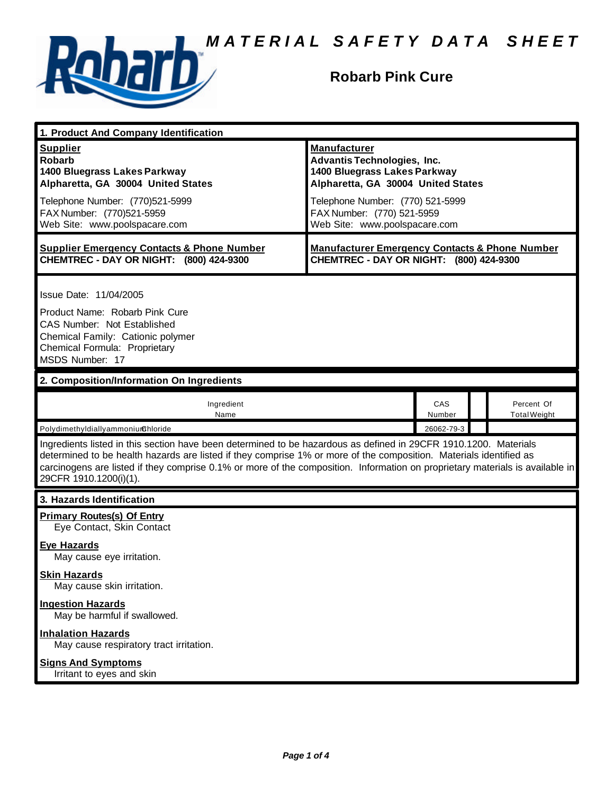

## **Robarb Pink Cure**

| 1. Product And Company Identification                                                                                                                                                                                                                                                                                                                                                             |                                                                                                                                                                                                   |               |  |                                   |  |
|---------------------------------------------------------------------------------------------------------------------------------------------------------------------------------------------------------------------------------------------------------------------------------------------------------------------------------------------------------------------------------------------------|---------------------------------------------------------------------------------------------------------------------------------------------------------------------------------------------------|---------------|--|-----------------------------------|--|
| <b>Supplier</b><br><b>Robarb</b><br>1400 Bluegrass Lakes Parkway<br>Alpharetta, GA 30004 United States<br>Telephone Number: (770)521-5999<br>FAX Number: (770)521-5959                                                                                                                                                                                                                            | <b>Manufacturer</b><br><b>Advantis Technologies, Inc.</b><br>1400 Bluegrass Lakes Parkway<br>Alpharetta, GA 30004 United States<br>Telephone Number: (770) 521-5999<br>FAX Number: (770) 521-5959 |               |  |                                   |  |
| Web Site: www.poolspacare.com                                                                                                                                                                                                                                                                                                                                                                     | Web Site: www.poolspacare.com                                                                                                                                                                     |               |  |                                   |  |
| <b>Supplier Emergency Contacts &amp; Phone Number</b><br>CHEMTREC - DAY OR NIGHT: (800) 424-9300                                                                                                                                                                                                                                                                                                  | <b>Manufacturer Emergency Contacts &amp; Phone Number</b><br>CHEMTREC - DAY OR NIGHT: (800) 424-9300                                                                                              |               |  |                                   |  |
| Issue Date: 11/04/2005<br>Product Name: Robarb Pink Cure<br><b>CAS Number: Not Established</b><br>Chemical Family: Cationic polymer<br>Chemical Formula: Proprietary<br>MSDS Number: 17                                                                                                                                                                                                           |                                                                                                                                                                                                   |               |  |                                   |  |
| 2. Composition/Information On Ingredients                                                                                                                                                                                                                                                                                                                                                         |                                                                                                                                                                                                   |               |  |                                   |  |
| Ingredient<br>Name                                                                                                                                                                                                                                                                                                                                                                                |                                                                                                                                                                                                   | CAS<br>Number |  | Percent Of<br><b>Total Weight</b> |  |
| Polydimethyldiallyammoniumchloride                                                                                                                                                                                                                                                                                                                                                                |                                                                                                                                                                                                   | 26062-79-3    |  |                                   |  |
| Ingredients listed in this section have been determined to be hazardous as defined in 29CFR 1910.1200. Materials<br>determined to be health hazards are listed if they comprise 1% or more of the composition. Materials identified as<br>carcinogens are listed if they comprise 0.1% or more of the composition. Information on proprietary materials is available in<br>29CFR 1910.1200(i)(1). |                                                                                                                                                                                                   |               |  |                                   |  |
| 3. Hazards Identification                                                                                                                                                                                                                                                                                                                                                                         |                                                                                                                                                                                                   |               |  |                                   |  |
| <b>Primary Routes(s) Of Entry</b><br>Eye Contact, Skin Contact                                                                                                                                                                                                                                                                                                                                    |                                                                                                                                                                                                   |               |  |                                   |  |
| <b>Eye Hazards</b><br>May cause eye irritation.                                                                                                                                                                                                                                                                                                                                                   |                                                                                                                                                                                                   |               |  |                                   |  |
| <b>Skin Hazards</b><br>May cause skin irritation.                                                                                                                                                                                                                                                                                                                                                 |                                                                                                                                                                                                   |               |  |                                   |  |
| <b>Ingestion Hazards</b><br>May be harmful if swallowed.                                                                                                                                                                                                                                                                                                                                          |                                                                                                                                                                                                   |               |  |                                   |  |
| <b>Inhalation Hazards</b><br>May cause respiratory tract irritation.                                                                                                                                                                                                                                                                                                                              |                                                                                                                                                                                                   |               |  |                                   |  |
| <b>Signs And Symptoms</b><br>Irritant to eyes and skin                                                                                                                                                                                                                                                                                                                                            |                                                                                                                                                                                                   |               |  |                                   |  |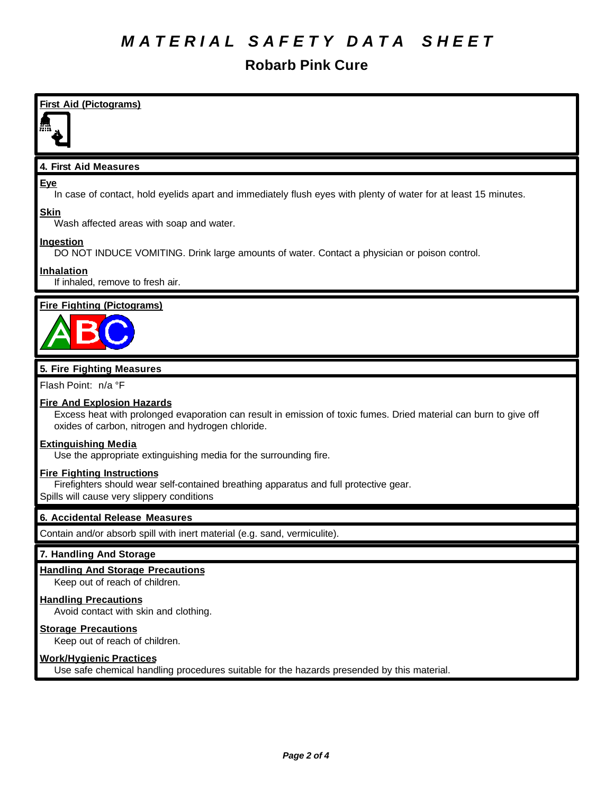## **Robarb Pink Cure**

**First Aid (Pictograms) 4. First Aid Measures Eye** In case of contact, hold eyelids apart and immediately flush eyes with plenty of water for at least 15 minutes. **Skin** Wash affected areas with soap and water. **Ingestion** DO NOT INDUCE VOMITING. Drink large amounts of water. Contact a physician or poison control. **Inhalation**

If inhaled, remove to fresh air.

### **Fire Fighting (Pictograms)**



### **5. Fire Fighting Measures**

Flash Point: n/a °F

### **Fire And Explosion Hazards**

Excess heat with prolonged evaporation can result in emission of toxic fumes. Dried material can burn to give off oxides of carbon, nitrogen and hydrogen chloride.

#### **Extinguishing Media**

Use the appropriate extinguishing media for the surrounding fire.

#### **Fire Fighting Instructions**

Firefighters should wear self-contained breathing apparatus and full protective gear.

Spills will cause very slippery conditions

#### **6. Accidental Release Measures**

Contain and/or absorb spill with inert material (e.g. sand, vermiculite).

#### **7. Handling And Storage**

#### **Handling And Storage Precautions**

Keep out of reach of children.

#### **Handling Precautions**

Avoid contact with skin and clothing.

#### **Storage Precautions**

Keep out of reach of children.

### **Work/Hygienic Practices**

Use safe chemical handling procedures suitable for the hazards presended by this material.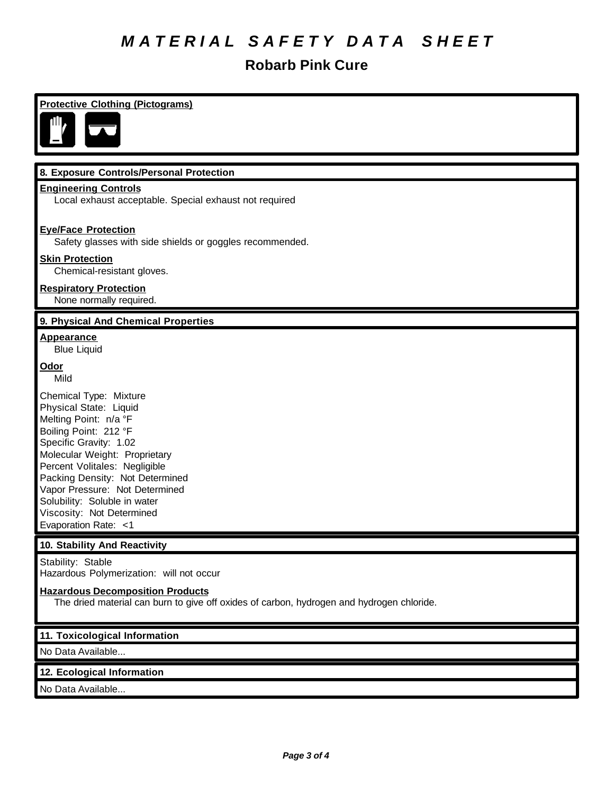## **Robarb Pink Cure**

| <b>Protective Clothing (Pictograms)</b>                                                                                                                                                                                                                                                                                                                  |
|----------------------------------------------------------------------------------------------------------------------------------------------------------------------------------------------------------------------------------------------------------------------------------------------------------------------------------------------------------|
|                                                                                                                                                                                                                                                                                                                                                          |
| 8. Exposure Controls/Personal Protection                                                                                                                                                                                                                                                                                                                 |
| <b>Engineering Controls</b><br>Local exhaust acceptable. Special exhaust not required                                                                                                                                                                                                                                                                    |
| <b>Eye/Face Protection</b><br>Safety glasses with side shields or goggles recommended.                                                                                                                                                                                                                                                                   |
| <b>Skin Protection</b><br>Chemical-resistant gloves.                                                                                                                                                                                                                                                                                                     |
| <b>Respiratory Protection</b><br>None normally required.                                                                                                                                                                                                                                                                                                 |
| 9. Physical And Chemical Properties                                                                                                                                                                                                                                                                                                                      |
| <b>Appearance</b><br><b>Blue Liquid</b>                                                                                                                                                                                                                                                                                                                  |
| Odor<br>Mild                                                                                                                                                                                                                                                                                                                                             |
| Chemical Type: Mixture<br>Physical State: Liquid<br>Melting Point: n/a °F<br>Boiling Point: 212 °F<br>Specific Gravity: 1.02<br>Molecular Weight: Proprietary<br>Percent Volitales: Negligible<br>Packing Density: Not Determined<br>Vapor Pressure: Not Determined<br>Solubility: Soluble in water<br>Viscosity: Not Determined<br>Evaporation Rate: <1 |
| 10. Stability And Reactivity                                                                                                                                                                                                                                                                                                                             |
| Stability: Stable<br>Hazardous Polymerization: will not occur                                                                                                                                                                                                                                                                                            |
| <b>Hazardous Decomposition Products</b><br>The dried material can burn to give off oxides of carbon, hydrogen and hydrogen chloride.                                                                                                                                                                                                                     |
| 11. Toxicological Information                                                                                                                                                                                                                                                                                                                            |
| No Data Available                                                                                                                                                                                                                                                                                                                                        |
| 12. Ecological Information                                                                                                                                                                                                                                                                                                                               |
| No Data Available                                                                                                                                                                                                                                                                                                                                        |